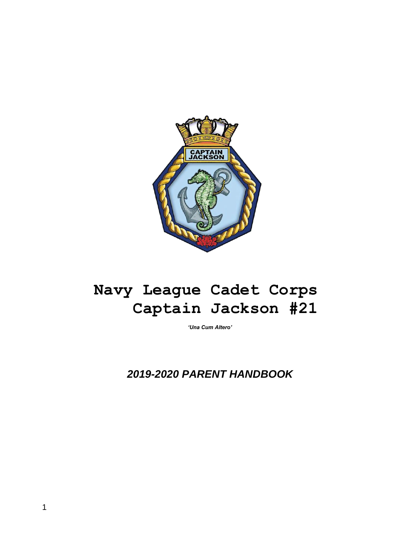

# **Navy League Cadet Corps Captain Jackson #21**

*'Una Cum Altero'*

 *2019-2020 PARENT HANDBOOK*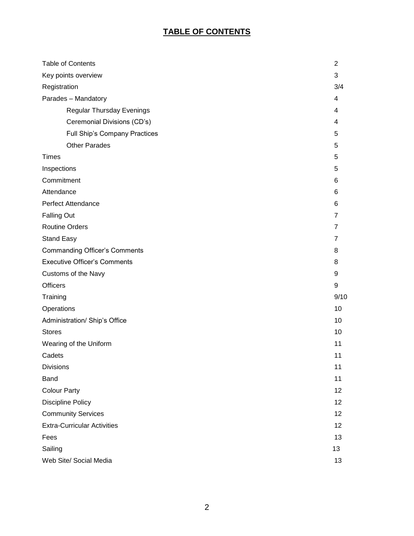# **TABLE OF CONTENTS**

| <b>Table of Contents</b>             | $\overline{2}$ |
|--------------------------------------|----------------|
| Key points overview                  | 3              |
| Registration                         | 3/4            |
| Parades - Mandatory                  | 4              |
| <b>Regular Thursday Evenings</b>     | 4              |
| Ceremonial Divisions (CD's)          | 4              |
| Full Ship's Company Practices        | 5              |
| <b>Other Parades</b>                 | 5              |
| <b>Times</b>                         | 5              |
| Inspections                          | 5              |
| Commitment                           | 6              |
| Attendance                           | 6              |
| <b>Perfect Attendance</b>            | 6              |
| <b>Falling Out</b>                   | $\overline{7}$ |
| <b>Routine Orders</b>                | $\overline{7}$ |
| <b>Stand Easy</b>                    | $\overline{7}$ |
| <b>Commanding Officer's Comments</b> | 8              |
| <b>Executive Officer's Comments</b>  | 8              |
| Customs of the Navy                  | 9              |
| <b>Officers</b>                      | 9              |
| Training                             | 9/10           |
| Operations                           | 10             |
| Administration/ Ship's Office        | 10             |
| <b>Stores</b>                        | 10             |
| Wearing of the Uniform               | 11             |
| Cadets                               | 11             |
| <b>Divisions</b>                     | 11             |
| <b>Band</b>                          | 11             |
| <b>Colour Party</b>                  | 12             |
| Discipline Policy                    | 12             |
| <b>Community Services</b>            | 12             |
| <b>Extra-Curricular Activities</b>   | 12             |
| Fees                                 | 13             |
| Sailing                              | 13             |
| Web Site/ Social Media               | 13             |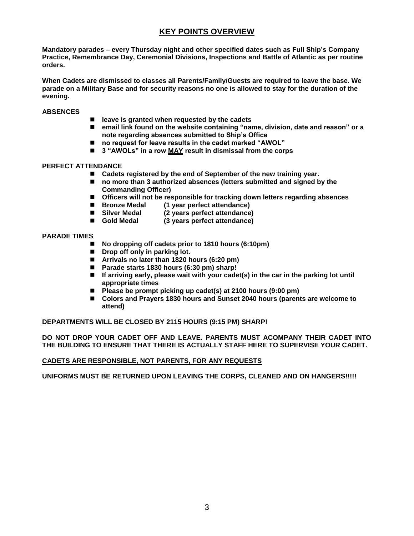# **KEY POINTS OVERVIEW**

**Mandatory parades – every Thursday night and other specified dates such as Full Ship's Company Practice, Remembrance Day, Ceremonial Divisions, Inspections and Battle of Atlantic as per routine orders.**

**When Cadets are dismissed to classes all Parents/Family/Guests are required to leave the base. We parade on a Military Base and for security reasons no one is allowed to stay for the duration of the evening.** 

#### **ABSENCES**

- leave is granted when requested by the cadets
- email link found on the website containing "name, division, date and reason" or a **note regarding absences submitted to Ship's Office**
- no request for leave results in the cadet marked "AWOL"
- 3 "AWOLs" in a row **MAY** result in dismissal from the corps

#### **PERFECT ATTENDANCE**

- Cadets registered by the end of September of the new training year.
- no more than 3 authorized absences (letters submitted and signed by the **Commanding Officer)**
- **Officers will not be responsible for tracking down letters regarding absences**
- ◼ **Bronze Medal (1 year perfect attendance)**
- Silver Medal (2 years perfect attendance)
- Gold Medal (3 years perfect attendance)

#### **PARADE TIMES**

- ◼ **No dropping off cadets prior to 1810 hours (6:10pm)**
- Drop off only in parking lot.
- ◼ **Arrivals no later than 1820 hours (6:20 pm)**
- ◼ **Parade starts 1830 hours (6:30 pm) sharp!**
- If arriving early, please wait with your cadet(s) in the car in the parking lot until **appropriate times**
- Please be prompt picking up cadet(s) at 2100 hours (9:00 pm)
- Colors and Prayers 1830 hours and Sunset 2040 hours (parents are welcome to **attend)**

**DEPARTMENTS WILL BE CLOSED BY 2115 HOURS (9:15 PM) SHARP!**

**DO NOT DROP YOUR CADET OFF AND LEAVE. PARENTS MUST ACOMPANY THEIR CADET INTO THE BUILDING TO ENSURE THAT THERE IS ACTUALLY STAFF HERE TO SUPERVISE YOUR CADET.** 

#### **CADETS ARE RESPONSIBLE, NOT PARENTS, FOR ANY REQUESTS**

**UNIFORMS MUST BE RETURNED UPON LEAVING THE CORPS, CLEANED AND ON HANGERS!!!!!**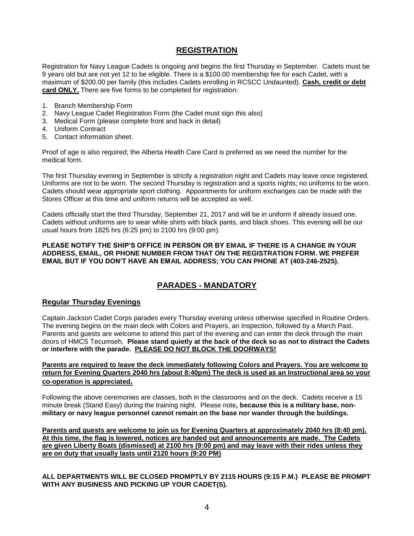### **REGISTRATION**

Registration for Navy League Cadets is ongoing and begins the first Thursday in September. Cadets must be 9 years old but are not yet 12 to be eligible. There is a \$100.00 membership fee for each Cadet, with a maximum of \$200.00 per family (this includes Cadets enrolling in RCSCC Undaunted). **Cash, credit or debt card ONLY.** There are five forms to be completed for registration:

- 1. Branch Membership Form
- 2. Navy League Cadet Registration Form (the Cadet must sign this also)
- 3. Medical Form (please complete front and back in detail)
- 4. Uniform Contract
- 5. Contact information sheet.

Proof of age is also required; the Alberta Health Care Card is preferred as we need the number for the medical form.

The first Thursday evening in September is strictly a registration night and Cadets may leave once registered. Uniforms are not to be worn. The second Thursday is registration and a sports nights; no uniforms to be worn. Cadets should wear appropriate sport clothing. Appointments for uniform exchanges can be made with the Stores Officer at this time and uniform returns will be accepted as well.

Cadets officially start the third Thursday, September 21, 2017 and will be in uniform if already issued one. Cadets without uniforms are to wear white shirts with black pants, and black shoes. This evening will be our usual hours from 1825 hrs (6:25 pm) to 2100 hrs (9:00 pm).

#### **PLEASE NOTIFY THE SHIP'S OFFICE IN PERSON OR BY EMAIL IF THERE IS A CHANGE IN YOUR ADDRESS, EMAIL, OR PHONE NUMBER FROM THAT ON THE REGISTRATION FORM. WE PREFER EMAIL BUT IF YOU DON'T HAVE AN EMAIL ADDRESS; YOU CAN PHONE AT (403-246-2525).**

# **PARADES - MANDATORY**

### **Regular Thursday Evenings**

Captain Jackson Cadet Corps parades every Thursday evening unless otherwise specified in Routine Orders. The evening begins on the main deck with Colors and Prayers, an Inspection, followed by a March Past. Parents and guests are welcome to attend this part of the evening and can enter the deck through the main doors of HMCS Tecumseh. **Please stand quietly at the back of the deck so as not to distract the Cadets or interfere with the parade. PLEASE DO NOT BLOCK THE DOORWAYS!**

**Parents are required to leave the deck immediately following Colors and Prayers. You are welcome to return for Evening Quarters 2040 hrs (about 8:40pm) The deck is used as an Instructional area so your co-operation is appreciated.**

Following the above ceremonies are classes, both in the classrooms and on the deck. Cadets receive a 15 minute break (Stand Easy) during the training night. Please note**, because this is a military base, nonmilitary or navy league personnel cannot remain on the base nor wander through the buildings.**

**Parents and guests are welcome to join us for Evening Quarters at approximately 2040 hrs (8:40 pm). At this time, the flag is lowered, notices are handed out and announcements are made. The Cadets are given Liberty Boats (dismissed) at 2100 hrs (9:00 pm) and may leave with their rides unless they are on duty that usually lasts until 2120 hours (9:20 PM)**

**ALL DEPARTMENTS WILL BE CLOSED PROMPTLY BY 2115 HOURS (9:15 P.M.) PLEASE BE PROMPT WITH ANY BUSINESS AND PICKING UP YOUR CADET(S)***.*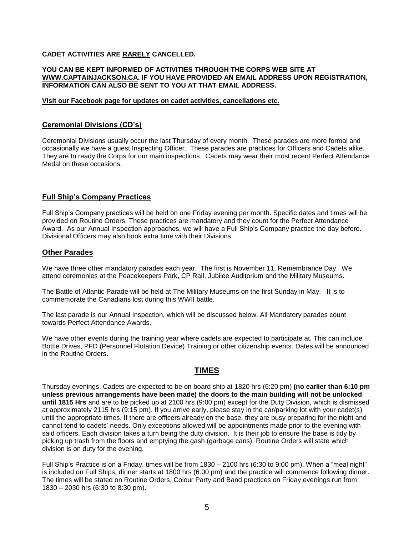### **CADET ACTIVITIES ARE RARELY CANCELLED.**

#### **YOU CAN BE KEPT INFORMED OF ACTIVITIES THROUGH THE CORPS WEB SITE AT [WWW.CAPTAINJACKSON.CA.](http://www.captainjackson.ca/) IF YOU HAVE PROVIDED AN EMAIL ADDRESS UPON REGISTRATION, INFORMATION CAN ALSO BE SENT TO YOU AT THAT EMAIL ADDRESS.**

#### **Visit our Facebook page for updates on cadet activities, cancellations etc.**

### **Ceremonial Divisions (CD's)**

Ceremonial Divisions usually occur the last Thursday of every month. These parades are more formal and occasionally we have a guest Inspecting Officer. These parades are practices for Officers and Cadets alike. They are to ready the Corps for our main inspections. Cadets may wear their most recent Perfect Attendance Medal on these occasions.

### **Full Ship's Company Practices**

Full Ship's Company practices will be held on one Friday evening per month. Specific dates and times will be provided on Routine Orders. These practices are mandatory and they count for the Perfect Attendance Award. As our Annual Inspection approaches, we will have a Full Ship's Company practice the day before. Divisional Officers may also book extra time with their Divisions.

### **Other Parades**

We have three other mandatory parades each year. The first is November 11, Remembrance Day. We attend ceremonies at the Peacekeepers Park, CP Rail, Jubilee Auditorium and the Military Museums.

The Battle of Atlantic Parade will be held at The Military Museums on the first Sunday in May. It is to commemorate the Canadians lost during this WWII battle.

The last parade is our Annual Inspection, which will be discussed below. All Mandatory parades count towards Perfect Attendance Awards.

We have other events during the training year where cadets are expected to participate at. This can include Bottle Drives, PFD (Personnel Flotation Device) Training or other citizenship events. Dates will be announced in the Routine Orders.

# **TIMES**

Thursday evenings, Cadets are expected to be on board ship at 1820 hrs (6:20 pm) **(no earlier than 6:10 pm unless previous arrangements have been made) the doors to the main building will not be unlocked until 1815 Hrs** and are to be picked up at 2100 hrs (9:00 pm) except for the Duty Division, which is dismissed at approximately 2115 hrs (9:15 pm). If you arrive early, please stay in the car/parking lot with your cadet(s) until the appropriate times. If there are officers already on the base, they are busy preparing for the night and cannot tend to cadets' needs. Only exceptions allowed will be appointments made prior to the evening with said officers. Each division takes a turn being the duty division. It is their job to ensure the base is tidy by picking up trash from the floors and emptying the gash (garbage cans). Routine Orders will state which division is on duty for the evening.

Full Ship's Practice is on a Friday, times will be from 1830 – 2100 hrs (6:30 to 9:00 pm). When a "meal night" is included on Full Ships, dinner starts at 1800 hrs (6:00 pm) and the practice will commence following dinner. The times will be stated on Routine Orders. Colour Party and Band practices on Friday evenings run from 1830 – 2030 hrs (6:30 to 8:30 pm).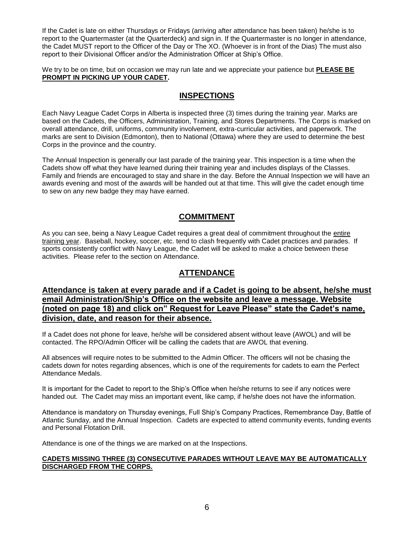If the Cadet is late on either Thursdays or Fridays (arriving after attendance has been taken) he/she is to report to the Quartermaster (at the Quarterdeck) and sign in. If the Quartermaster is no longer in attendance, the Cadet MUST report to the Officer of the Day or The XO. (Whoever is in front of the Dias) The must also report to their Divisional Officer and/or the Administration Officer at Ship's Office.

We try to be on time, but on occasion we may run late and we appreciate your patience but **PLEASE BE PROMPT IN PICKING UP YOUR CADET.** 

### **INSPECTIONS**

Each Navy League Cadet Corps in Alberta is inspected three (3) times during the training year. Marks are based on the Cadets, the Officers, Administration, Training, and Stores Departments. The Corps is marked on overall attendance, drill, uniforms, community involvement, extra-curricular activities, and paperwork. The marks are sent to Division (Edmonton), then to National (Ottawa) where they are used to determine the best Corps in the province and the country.

The Annual Inspection is generally our last parade of the training year. This inspection is a time when the Cadets show off what they have learned during their training year and includes displays of the Classes. Family and friends are encouraged to stay and share in the day. Before the Annual Inspection we will have an awards evening and most of the awards will be handed out at that time. This will give the cadet enough time to sew on any new badge they may have earned.

# **COMMITMENT**

As you can see, being a Navy League Cadet requires a great deal of commitment throughout the entire training year. Baseball, hockey, soccer, etc. tend to clash frequently with Cadet practices and parades. If sports consistently conflict with Navy League, the Cadet will be asked to make a choice between these activities. Please refer to the section on Attendance.

# **ATTENDANCE**

### **Attendance is taken at every parade and if a Cadet is going to be absent, he/she must email Administration/Ship's Office on the website and leave a message. Website (noted on page 18) and click on" Request for Leave Please" state the Cadet's name, division, date, and reason for their absence.**

If a Cadet does not phone for leave, he/she will be considered absent without leave (AWOL) and will be contacted. The RPO/Admin Officer will be calling the cadets that are AWOL that evening.

All absences will require notes to be submitted to the Admin Officer. The officers will not be chasing the cadets down for notes regarding absences, which is one of the requirements for cadets to earn the Perfect Attendance Medals.

It is important for the Cadet to report to the Ship's Office when he/she returns to see if any notices were handed out. The Cadet may miss an important event, like camp, if he/she does not have the information.

Attendance is mandatory on Thursday evenings, Full Ship's Company Practices, Remembrance Day, Battle of Atlantic Sunday, and the Annual Inspection. Cadets are expected to attend community events, funding events and Personal Flotation Drill.

Attendance is one of the things we are marked on at the Inspections.

#### **CADETS MISSING THREE (3) CONSECUTIVE PARADES WITHOUT LEAVE MAY BE AUTOMATICALLY DISCHARGED FROM THE CORPS.**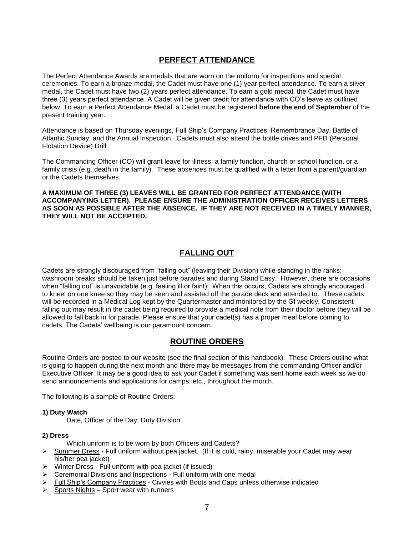# **PERFECT ATTENDANCE**

The Perfect Attendance Awards are medals that are worn on the uniform for inspections and special ceremonies. To earn a bronze medal, the Cadet must have one (1) year perfect attendance. To earn a silver medal, the Cadet must have two (2) years perfect attendance. To earn a gold medal, the Cadet must have three (3) years perfect attendance. A Cadet will be given credit for attendance with CO's leave as outlined below. To earn a Perfect Attendance Medal, a Cadet must be registered **before the end of September** of the present training year.

Attendance is based on Thursday evenings, Full Ship's Company Practices, Remembrance Day, Battle of Atlantic Sunday, and the Annual Inspection. Cadets must also attend the bottle drives and PFD (Personal Flotation Device) Drill.

The Commanding Officer (CO) will grant leave for illness, a family function, church or school function, or a family crisis (e.g. death in the family). These absences must be qualified with a letter from a parent/guardian or the Cadets themselves.

**A MAXIMUM OF THREE (3) LEAVES WILL BE GRANTED FOR PERFECT ATTENDANCE (WITH ACCOMPANYING LETTER). PLEASE ENSURE THE ADMINISTRATION OFFICER RECEIVES LETTERS AS SOON AS POSSIBLE AFTER THE ABSENCE. IF THEY ARE NOT RECEIVED IN A TIMELY MANNER, THEY WILL NOT BE ACCEPTED.**

# **FALLING OUT**

Cadets are strongly discouraged from "falling out" (leaving their Division) while standing in the ranks; washroom breaks should be taken just before parades and during Stand Easy. However, there are occasions when "falling out" is unavoidable (e.g. feeling ill or faint). When this occurs, Cadets are strongly encouraged to kneel on one knee so they may be seen and assisted off the parade deck and attended to. These cadets will be recorded in a Medical Log kept by the Quartermaster and monitored by the GI weekly. Consistent falling out may result in the cadet being required to provide a medical note from their doctor before they will be allowed to fall back in for parade. Please ensure that your cadet(s) has a proper meal before coming to cadets. The Cadets' wellbeing is our paramount concern.

### **ROUTINE ORDERS**

Routine Orders are posted to our website (see the final section of this handbook). These Orders outline what is going to happen during the next month and there may be messages from the commanding Officer and/or Executive Officer. It may be a good idea to ask your Cadet if something was sent home each week as we do send announcements and applications for camps, etc., throughout the month.

The following is a sample of Routine Orders:

#### **1) Duty Watch**

Date, Officer of the Day, Duty Division

#### **2) Dress**

Which uniform is to be worn by both Officers and Cadets?

- ➢ Summer Dress Full uniform without pea jacket. (If it is cold, rainy, miserable your Cadet may wear his/her pea jacket)
- ➢ Winter Dress Full uniform with pea jacket (if issued)
- ➢ Ceremonial Divisions and Inspections Full uniform with one medal
- ➢ Full Ship's Company Practices Civvies with Boots and Caps unless otherwise indicated
- $\triangleright$  Sports Nights Sport wear with runners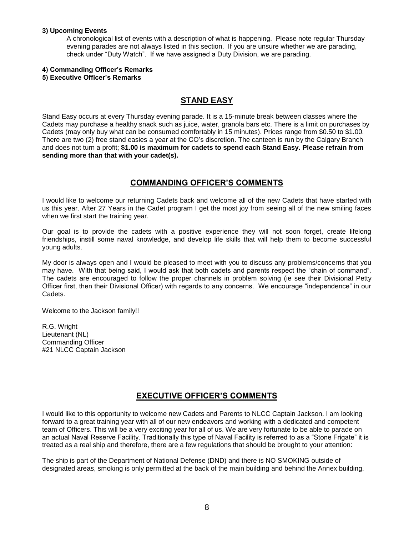#### **3) Upcoming Events**

 A chronological list of events with a description of what is happening. Please note regular Thursday evening parades are not always listed in this section. If you are unsure whether we are parading, check under "Duty Watch". If we have assigned a Duty Division, we are parading.

#### **4) Commanding Officer's Remarks**

#### **5) Executive Officer's Remarks**

# **STAND EASY**

Stand Easy occurs at every Thursday evening parade. It is a 15-minute break between classes where the Cadets may purchase a healthy snack such as juice, water, granola bars etc. There is a limit on purchases by Cadets (may only buy what can be consumed comfortably in 15 minutes). Prices range from \$0.50 to \$1.00. There are two (2) free stand easies a year at the CO's discretion. The canteen is run by the Calgary Branch and does not turn a profit; **\$1.00 is maximum for cadets to spend each Stand Easy. Please refrain from sending more than that with your cadet(s).**

### **COMMANDING OFFICER'S COMMENTS**

I would like to welcome our returning Cadets back and welcome all of the new Cadets that have started with us this year. After 27 Years in the Cadet program I get the most joy from seeing all of the new smiling faces when we first start the training year.

Our goal is to provide the cadets with a positive experience they will not soon forget, create lifelong friendships, instill some naval knowledge, and develop life skills that will help them to become successful young adults.

My door is always open and I would be pleased to meet with you to discuss any problems/concerns that you may have. With that being said, I would ask that both cadets and parents respect the "chain of command". The cadets are encouraged to follow the proper channels in problem solving (ie see their Divisional Petty Officer first, then their Divisional Officer) with regards to any concerns. We encourage "independence" in our Cadets.

Welcome to the Jackson family!!

R.G. Wright Lieutenant (NL) Commanding Officer #21 NLCC Captain Jackson

# **EXECUTIVE OFFICER'S COMMENTS**

I would like to this opportunity to welcome new Cadets and Parents to NLCC Captain Jackson. I am looking forward to a great training year with all of our new endeavors and working with a dedicated and competent team of Officers. This will be a very exciting year for all of us. We are very fortunate to be able to parade on an actual Naval Reserve Facility. Traditionally this type of Naval Facility is referred to as a "Stone Frigate" it is treated as a real ship and therefore, there are a few regulations that should be brought to your attention:

The ship is part of the Department of National Defense (DND) and there is NO SMOKING outside of designated areas, smoking is only permitted at the back of the main building and behind the Annex building.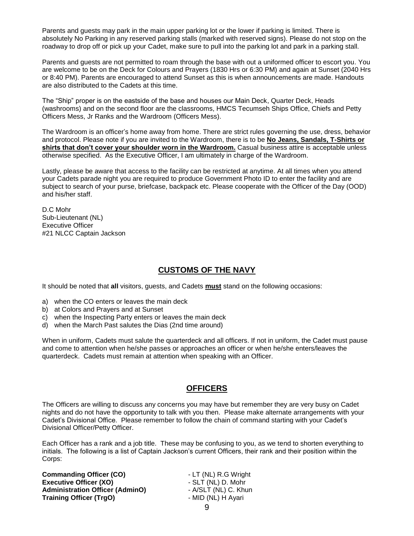Parents and guests may park in the main upper parking lot or the lower if parking is limited. There is absolutely No Parking in any reserved parking stalls (marked with reserved signs). Please do not stop on the roadway to drop off or pick up your Cadet, make sure to pull into the parking lot and park in a parking stall.

Parents and guests are not permitted to roam through the base with out a uniformed officer to escort you. You are welcome to be on the Deck for Colours and Prayers (1830 Hrs or 6:30 PM) and again at Sunset (2040 Hrs or 8:40 PM). Parents are encouraged to attend Sunset as this is when announcements are made. Handouts are also distributed to the Cadets at this time.

The "Ship" proper is on the eastside of the base and houses our Main Deck, Quarter Deck, Heads (washrooms) and on the second floor are the classrooms, HMCS Tecumseh Ships Office, Chiefs and Petty Officers Mess, Jr Ranks and the Wardroom (Officers Mess).

The Wardroom is an officer's home away from home. There are strict rules governing the use, dress, behavior and protocol. Please note if you are invited to the Wardroom, there is to be **No Jeans, Sandals, T-Shirts or shirts that don't cover your shoulder worn in the Wardroom.** Casual business attire is acceptable unless otherwise specified. As the Executive Officer, I am ultimately in charge of the Wardroom.

Lastly, please be aware that access to the facility can be restricted at anytime. At all times when you attend your Cadets parade night you are required to produce Government Photo ID to enter the facility and are subject to search of your purse, briefcase, backpack etc. Please cooperate with the Officer of the Day (OOD) and his/her staff.

D.C Mohr Sub-Lieutenant (NL) Executive Officer #21 NLCC Captain Jackson

# **CUSTOMS OF THE NAVY**

It should be noted that **all** visitors, guests, and Cadets **must** stand on the following occasions:

- a) when the CO enters or leaves the main deck
- b) at Colors and Prayers and at Sunset
- c) when the Inspecting Party enters or leaves the main deck
- d) when the March Past salutes the Dias (2nd time around)

When in uniform, Cadets must salute the quarterdeck and all officers. If not in uniform, the Cadet must pause and come to attention when he/she passes or approaches an officer or when he/she enters/leaves the quarterdeck. Cadets must remain at attention when speaking with an Officer.

# **OFFICERS**

The Officers are willing to discuss any concerns you may have but remember they are very busy on Cadet nights and do not have the opportunity to talk with you then. Please make alternate arrangements with your Cadet's Divisional Office. Please remember to follow the chain of command starting with your Cadet's Divisional Officer/Petty Officer.

Each Officer has a rank and a job title. These may be confusing to you, as we tend to shorten everything to initials. The following is a list of Captain Jackson's current Officers, their rank and their position within the Corps:

**Commanding Officer (CO)** - LT (NL) R.G Wright<br> **Executive Officer (XO)** - SLT (NL) D. Mohr **Executive Officer (XO) CONFIDENT ACCORDING A SET (NL) D. Mohr Administration Officer (AdminO)** - A/SLT (NL) C. Khun **Training Officer (TrgO)** - MID (NL) H Ayari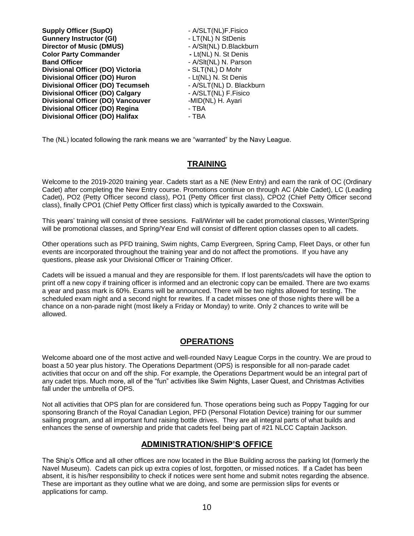| <b>Supply Officer (SupO)</b>             | - A/SLT(NL)F.Fisico      |
|------------------------------------------|--------------------------|
| <b>Gunnery Instructor (GI)</b>           | - LT(NL) N StDenis       |
| <b>Director of Music (DMUS)</b>          | - A/Slt(NL) D.Blackburn  |
| <b>Color Party Commander</b>             | - Lt(NL) N. St Denis     |
| <b>Band Officer</b>                      | - A/SIt(NL) N. Parson    |
| Divisional Officer (DO) Victoria         | - SLT(NL) D Mohr         |
| <b>Divisional Officer (DO) Huron</b>     | - Lt(NL) N. St Denis     |
| <b>Divisional Officer (DO) Tecumseh</b>  | - A/SLT(NL) D. Blackburn |
| <b>Divisional Officer (DO) Calgary</b>   | - A/SLT(NL) F.Fisico     |
| <b>Divisional Officer (DO) Vancouver</b> | -MID(NL) H. Ayari        |
| Divisional Officer (DO) Regina           | - TBA                    |
| <b>Divisional Officer (DO) Halifax</b>   | - TBA                    |

The (NL) located following the rank means we are "warranted" by the Navy League.

### **TRAINING**

Welcome to the 2019-2020 training year. Cadets start as a NE (New Entry) and earn the rank of OC (Ordinary Cadet) after completing the New Entry course. Promotions continue on through AC (Able Cadet), LC (Leading Cadet), PO2 (Petty Officer second class), PO1 (Petty Officer first class), CPO2 (Chief Petty Officer second class), finally CPO1 (Chief Petty Officer first class) which is typically awarded to the Coxswain.

This years' training will consist of three sessions. Fall/Winter will be cadet promotional classes, Winter/Spring will be promotional classes, and Spring/Year End will consist of different option classes open to all cadets.

Other operations such as PFD training, Swim nights, Camp Evergreen, Spring Camp, Fleet Days, or other fun events are incorporated throughout the training year and do not affect the promotions. If you have any questions, please ask your Divisional Officer or Training Officer.

Cadets will be issued a manual and they are responsible for them. If lost parents/cadets will have the option to print off a new copy if training officer is informed and an electronic copy can be emailed. There are two exams a year and pass mark is 60%. Exams will be announced. There will be two nights allowed for testing. The scheduled exam night and a second night for rewrites. If a cadet misses one of those nights there will be a chance on a non-parade night (most likely a Friday or Monday) to write. Only 2 chances to write will be allowed.

# **OPERATIONS**

Welcome aboard one of the most active and well-rounded Navy League Corps in the country. We are proud to boast a 50 year plus history. The Operations Department (OPS) is responsible for all non-parade cadet activities that occur on and off the ship. For example, the Operations Department would be an integral part of any cadet trips. Much more, all of the "fun" activities like Swim Nights, Laser Quest, and Christmas Activities fall under the umbrella of OPS.

Not all activities that OPS plan for are considered fun. Those operations being such as Poppy Tagging for our sponsoring Branch of the Royal Canadian Legion, PFD (Personal Flotation Device) training for our summer sailing program, and all important fund raising bottle drives. They are all integral parts of what builds and enhances the sense of ownership and pride that cadets feel being part of #21 NLCC Captain Jackson.

# **ADMINISTRATION/SHIP'S OFFICE**

The Ship's Office and all other offices are now located in the Blue Building across the parking lot (formerly the Navel Museum). Cadets can pick up extra copies of lost, forgotten, or missed notices. If a Cadet has been absent, it is his/her responsibility to check if notices were sent home and submit notes regarding the absence. These are important as they outline what we are doing, and some are permission slips for events or applications for camp.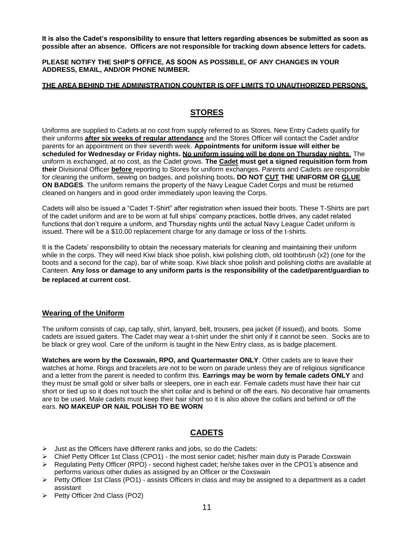**It is also the Cadet's responsibility to ensure that letters regarding absences be submitted as soon as possible after an absence. Officers are not responsible for tracking down absence letters for cadets.** 

**PLEASE NOTIFY THE SHIP'S OFFICE, AS SOON AS POSSIBLE, OF ANY CHANGES IN YOUR ADDRESS, EMAIL, AND/OR PHONE NUMBER.**

#### **THE AREA BEHIND THE ADMINISTRATION COUNTER IS OFF LIMITS TO UNAUTHORIZED PERSONS**.

# **STORES**

Uniforms are supplied to Cadets at no cost from supply referred to as Stores. New Entry Cadets qualify for their uniforms **after six weeks of regular attendance** and the Stores Officer will contact the Cadet and/or parents for an appointment on their seventh week. **Appointments for uniform issue will either be scheduled for Wednesday or Friday nights. No uniform issuing will be done on Thursday nights**. The uniform is exchanged, at no cost, as the Cadet grows. **The Cadet must get a signed requisition form from their** Divisional Officer **before** reporting to Stores for uniform exchanges. Parents and Cadets are responsible for cleaning the uniform, sewing on badges, and polishing boots**. DO NOT CUT THE UNIFORM OR GLUE ON BADGES**. The uniform remains the property of the Navy League Cadet Corps and must be returned cleaned on hangers and in good order immediately upon leaving the Corps.

Cadets will also be issued a "Cadet T-Shirt" after registration when issued their boots. These T-Shirts are part of the cadet uniform and are to be worn at full ships' company practices, bottle drives, any cadet related functions that don't require a uniform, and Thursday nights until the actual Navy League Cadet uniform is issued. There will be a \$10.00 replacement charge for any damage or loss of the t-shirts.

It is the Cadets' responsibility to obtain the necessary materials for cleaning and maintaining their uniform while in the corps. They will need Kiwi black shoe polish, kiwi polishing cloth, old toothbrush (x2) (one for the boots and a second for the cap), bar of white soap. Kiwi black shoe polish and polishing cloths are available at Canteen. **Any loss or damage to any uniform parts is the responsibility of the cadet/parent/guardian to be replaced at current cost**.

### **Wearing of the Uniform**

The uniform consists of cap, cap tally, shirt, lanyard, belt, trousers, pea jacket (if issued), and boots. Some cadets are issued gaiters. The Cadet may wear a t-shirt under the shirt only if it cannot be seen. Socks are to be black or grey wool. Care of the uniform is taught in the New Entry class, as is badge placement.

**Watches are worn by the Coxswain, RPO, and Quartermaster ONLY**. Other cadets are to leave their watches at home. Rings and bracelets are not to be worn on parade unless they are of religious significance and a letter from the parent is needed to confirm this. **Earrings may be worn by female cadets ONLY** and they must be small gold or silver balls or sleepers, one in each ear. Female cadets must have their hair cut short or tied up so it does not touch the shirt collar and is behind or off the ears. No decorative hair ornaments are to be used. Male cadets must keep their hair short so it is also above the collars and behind or off the ears. **NO MAKEUP OR NAIL POLISH TO BE WORN**

# **CADETS**

- ➢ Just as the Officers have different ranks and jobs, so do the Cadets:
- $\triangleright$  Chief Petty Officer 1st Class (CPO1) the most senior cadet; his/her main duty is Parade Coxswain
- ➢ Regulating Petty Officer (RPO) second highest cadet; he/she takes over in the CPO1's absence and performs various other duties as assigned by an Officer or the Coxswain
- ➢ Petty Officer 1st Class (PO1) assists Officers in class and may be assigned to a department as a cadet assistant
- ➢ Petty Officer 2nd Class (PO2)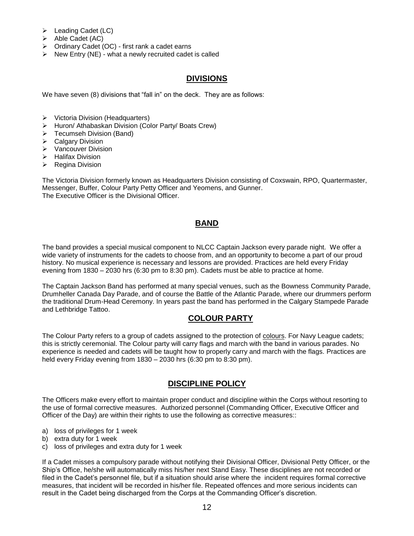- ➢ Leading Cadet (LC)
- ➢ Able Cadet (AC)
- ➢ Ordinary Cadet (OC) first rank a cadet earns
- $\triangleright$  New Entry (NE) what a newly recruited cadet is called

### **DIVISIONS**

We have seven (8) divisions that "fall in" on the deck. They are as follows:

- ➢ Victoria Division (Headquarters)
- ➢ Huron/ Athabaskan Division (Color Party/ Boats Crew)
- ➢ Tecumseh Division (Band)
- ➢ Calgary Division
- ➢ Vancouver Division
- ➢ Halifax Division
- ➢ Regina Division

The Victoria Division formerly known as Headquarters Division consisting of Coxswain, RPO, Quartermaster, Messenger, Buffer, Colour Party Petty Officer and Yeomens, and Gunner. The Executive Officer is the Divisional Officer.

### **BAND**

The band provides a special musical component to NLCC Captain Jackson every parade night. We offer a wide variety of instruments for the cadets to choose from, and an opportunity to become a part of our proud history. No musical experience is necessary and lessons are provided. Practices are held every Friday evening from 1830 – 2030 hrs (6:30 pm to 8:30 pm). Cadets must be able to practice at home.

The Captain Jackson Band has performed at many special venues, such as the Bowness Community Parade, Drumheller Canada Day Parade, and of course the Battle of the Atlantic Parade, where our drummers perform the traditional Drum-Head Ceremony. In years past the band has performed in the Calgary Stampede Parade and Lethbridge Tattoo.

# **COLOUR PARTY**

The Colour Party refers to a group of cadets assigned to the protection of [colours.](https://en.wikipedia.org/wiki/Colours,_standards_and_guidons) For Navy League cadets; this is strictly ceremonial. The Colour party will carry flags and march with the band in various parades. No experience is needed and cadets will be taught how to properly carry and march with the flags. Practices are held every Friday evening from 1830 – 2030 hrs (6:30 pm to 8:30 pm).

# **DISCIPLINE POLICY**

The Officers make every effort to maintain proper conduct and discipline within the Corps without resorting to the use of formal corrective measures. Authorized personnel (Commanding Officer, Executive Officer and Officer of the Day) are within their rights to use the following as corrective measures::

- a) loss of privileges for 1 week
- b) extra duty for 1 week
- c) loss of privileges and extra duty for 1 week

If a Cadet misses a compulsory parade without notifying their Divisional Officer, Divisional Petty Officer, or the Ship's Office, he/she will automatically miss his/her next Stand Easy. These disciplines are not recorded or filed in the Cadet's personnel file, but if a situation should arise where the incident requires formal corrective measures, that incident will be recorded in his/her file. Repeated offences and more serious incidents can result in the Cadet being discharged from the Corps at the Commanding Officer's discretion.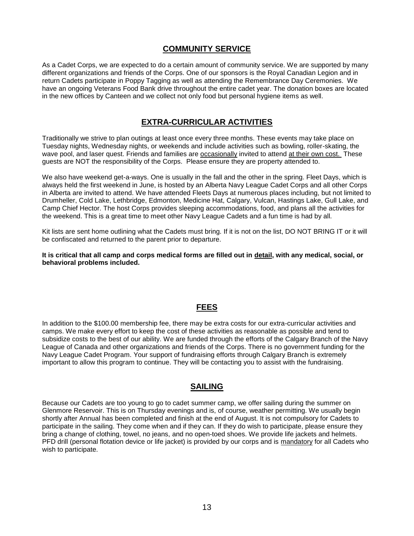### **COMMUNITY SERVICE**

As a Cadet Corps, we are expected to do a certain amount of community service. We are supported by many different organizations and friends of the Corps. One of our sponsors is the Royal Canadian Legion and in return Cadets participate in Poppy Tagging as well as attending the Remembrance Day Ceremonies. We have an ongoing Veterans Food Bank drive throughout the entire cadet year. The donation boxes are located in the new offices by Canteen and we collect not only food but personal hygiene items as well.

# **EXTRA-CURRICULAR ACTIVITIES**

Traditionally we strive to plan outings at least once every three months. These events may take place on Tuesday nights, Wednesday nights, or weekends and include activities such as bowling, roller-skating, the wave pool, and laser quest. Friends and families are occasionally invited to attend at their own cost. These guests are NOT the responsibility of the Corps. Please ensure they are property attended to.

We also have weekend get-a-ways. One is usually in the fall and the other in the spring. Fleet Days, which is always held the first weekend in June, is hosted by an Alberta Navy League Cadet Corps and all other Corps in Alberta are invited to attend. We have attended Fleets Days at numerous places including, but not limited to Drumheller, Cold Lake, Lethbridge, Edmonton, Medicine Hat, Calgary, Vulcan, Hastings Lake, Gull Lake, and Camp Chief Hector. The host Corps provides sleeping accommodations, food, and plans all the activities for the weekend. This is a great time to meet other Navy League Cadets and a fun time is had by all.

Kit lists are sent home outlining what the Cadets must bring. If it is not on the list, DO NOT BRING IT or it will be confiscated and returned to the parent prior to departure.

**It is critical that all camp and corps medical forms are filled out in detail, with any medical, social, or behavioral problems included.**

### **FEES**

In addition to the \$100.00 membership fee, there may be extra costs for our extra-curricular activities and camps. We make every effort to keep the cost of these activities as reasonable as possible and tend to subsidize costs to the best of our ability. We are funded through the efforts of the Calgary Branch of the Navy League of Canada and other organizations and friends of the Corps. There is no government funding for the Navy League Cadet Program. Your support of fundraising efforts through Calgary Branch is extremely important to allow this program to continue. They will be contacting you to assist with the fundraising.

### **SAILING**

Because our Cadets are too young to go to cadet summer camp, we offer sailing during the summer on Glenmore Reservoir. This is on Thursday evenings and is, of course, weather permitting. We usually begin shortly after Annual has been completed and finish at the end of August. It is not compulsory for Cadets to participate in the sailing. They come when and if they can. If they do wish to participate, please ensure they bring a change of clothing, towel, no jeans, and no open-toed shoes. We provide life jackets and helmets. PFD drill (personal flotation device or life jacket) is provided by our corps and is mandatory for all Cadets who wish to participate.